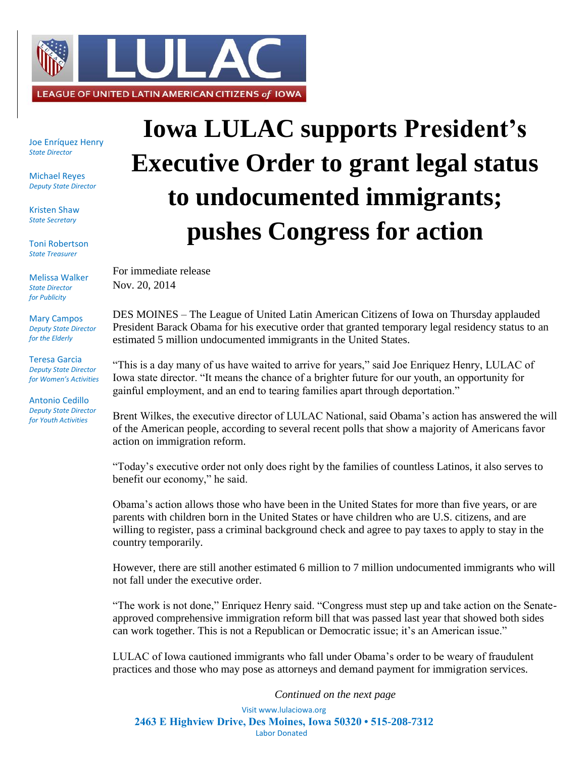

Joe Enríquez Henry *State Director*

Michael Reyes *Deputy State Director*

Kristen Shaw *State Secretary*

Toni Robertson *State Treasurer*

Melissa Walker *State Director for Publicity*

Mary Campos *Deputy State Director for the Elderly*

Teresa Garcia *Deputy State Director for Women's Activities*

Antonio Cedillo *Deputy State Director for Youth Activities*

## **Iowa LULAC supports President's Executive Order to grant legal status to undocumented immigrants; pushes Congress for action**

For immediate release Nov. 20, 2014

DES MOINES – The League of United Latin American Citizens of Iowa on Thursday applauded President Barack Obama for his executive order that granted temporary legal residency status to an estimated 5 million undocumented immigrants in the United States.

"This is a day many of us have waited to arrive for years," said Joe Enriquez Henry, LULAC of Iowa state director. "It means the chance of a brighter future for our youth, an opportunity for gainful employment, and an end to tearing families apart through deportation."

Brent Wilkes, the executive director of LULAC National, said Obama's action has answered the will of the American people, according to several recent polls that show a majority of Americans favor action on immigration reform.

"Today's executive order not only does right by the families of countless Latinos, it also serves to benefit our economy," he said.

Obama's action allows those who have been in the United States for more than five years, or are parents with children born in the United States or have children who are U.S. citizens, and are willing to register, pass a criminal background check and agree to pay taxes to apply to stay in the country temporarily.

However, there are still another estimated 6 million to 7 million undocumented immigrants who will not fall under the executive order.

"The work is not done," Enriquez Henry said. "Congress must step up and take action on the Senateapproved comprehensive immigration reform bill that was passed last year that showed both sides can work together. This is not a Republican or Democratic issue; it's an American issue."

LULAC of Iowa cautioned immigrants who fall under Obama's order to be weary of fraudulent practices and those who may pose as attorneys and demand payment for immigration services.

*Continued on the next page*

Visit www.lulaciowa.org **2463 E Highview Drive, Des Moines, Iowa 50320 • 515-208-7312** Labor Donated